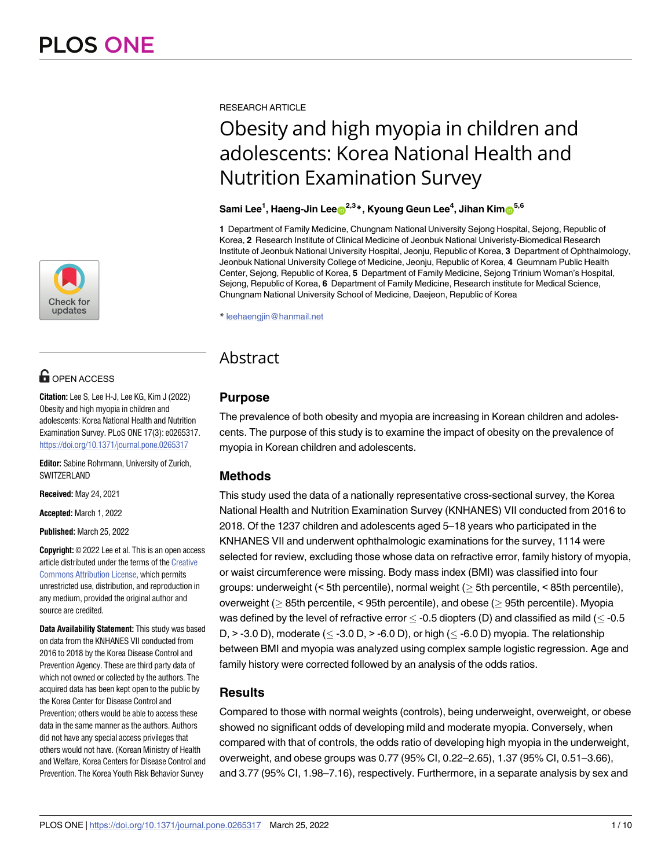

# **OPEN ACCESS**

**Citation:** Lee S, Lee H-J, Lee KG, Kim J (2022) Obesity and high myopia in children and adolescents: Korea National Health and Nutrition Examination Survey. PLoS ONE 17(3): e0265317. <https://doi.org/10.1371/journal.pone.0265317>

**Editor:** Sabine Rohrmann, University of Zurich, **SWITZERLAND** 

**Received:** May 24, 2021

**Accepted:** March 1, 2022

**Published:** March 25, 2022

**Copyright:** © 2022 Lee et al. This is an open access article distributed under the terms of the [Creative](http://creativecommons.org/licenses/by/4.0/) [Commons](http://creativecommons.org/licenses/by/4.0/) Attribution License, which permits unrestricted use, distribution, and reproduction in any medium, provided the original author and source are credited.

**Data Availability Statement:** This study was based on data from the KNHANES VII conducted from 2016 to 2018 by the Korea Disease Control and Prevention Agency. These are third party data of which not owned or collected by the authors. The acquired data has been kept open to the public by the Korea Center for Disease Control and Prevention; others would be able to access these data in the same manner as the authors. Authors did not have any special access privileges that others would not have. (Korean Ministry of Health and Welfare, Korea Centers for Disease Control and Prevention. The Korea Youth Risk Behavior Survey

RESEARCH ARTICLE

# Obesity and high myopia in children and adolescents: Korea National Health and Nutrition Examination Survey

# ${\bf Sami}\ {\bf Lee}^1,$  Haeng-Jin  ${\bf Lee_0}^{2,3}$ \*,  ${\bf Kyoung}\ {\bf Geun}\ {\bf Lee}^4,$  Jihan  ${\bf Kim_0}^{5,6}$

**1** Department of Family Medicine, Chungnam National University Sejong Hospital, Sejong, Republic of Korea, **2** Research Institute of Clinical Medicine of Jeonbuk National Univeristy-Biomedical Research Institute of Jeonbuk National University Hospital, Jeonju, Republic of Korea, **3** Department of Ophthalmology, Jeonbuk National University College of Medicine, Jeonju, Republic of Korea, **4** Geumnam Public Health Center, Sejong, Republic of Korea, **5** Department of Family Medicine, Sejong Trinium Woman's Hospital, Sejong, Republic of Korea, **6** Department of Family Medicine, Research institute for Medical Science, Chungnam National University School of Medicine, Daejeon, Republic of Korea

\* leehaengjin@hanmail.net

# Abstract

# **Purpose**

The prevalence of both obesity and myopia are increasing in Korean children and adolescents. The purpose of this study is to examine the impact of obesity on the prevalence of myopia in Korean children and adolescents.

# **Methods**

This study used the data of a nationally representative cross-sectional survey, the Korea National Health and Nutrition Examination Survey (KNHANES) VII conducted from 2016 to 2018. Of the 1237 children and adolescents aged 5–18 years who participated in the KNHANES VII and underwent ophthalmologic examinations for the survey, 1114 were selected for review, excluding those whose data on refractive error, family history of myopia, or waist circumference were missing. Body mass index (BMI) was classified into four groups: underweight  $($  < 5th percentile), normal weight  $($  > 5th percentile, < 85th percentile), overweight ( $\geq$  85th percentile, < 95th percentile), and obese ( $\geq$  95th percentile). Myopia was defined by the level of refractive error  $\leq$  -0.5 diopters (D) and classified as mild ( $\leq$  -0.5 D,  $>$  -3.0 D), moderate ( $\leq$  -3.0 D,  $>$  -6.0 D), or high ( $\leq$  -6.0 D) myopia. The relationship between BMI and myopia was analyzed using complex sample logistic regression. Age and family history were corrected followed by an analysis of the odds ratios.

# **Results**

Compared to those with normal weights (controls), being underweight, overweight, or obese showed no significant odds of developing mild and moderate myopia. Conversely, when compared with that of controls, the odds ratio of developing high myopia in the underweight, overweight, and obese groups was 0.77 (95% CI, 0.22–2.65), 1.37 (95% CI, 0.51–3.66), and 3.77 (95% CI, 1.98–7.16), respectively. Furthermore, in a separate analysis by sex and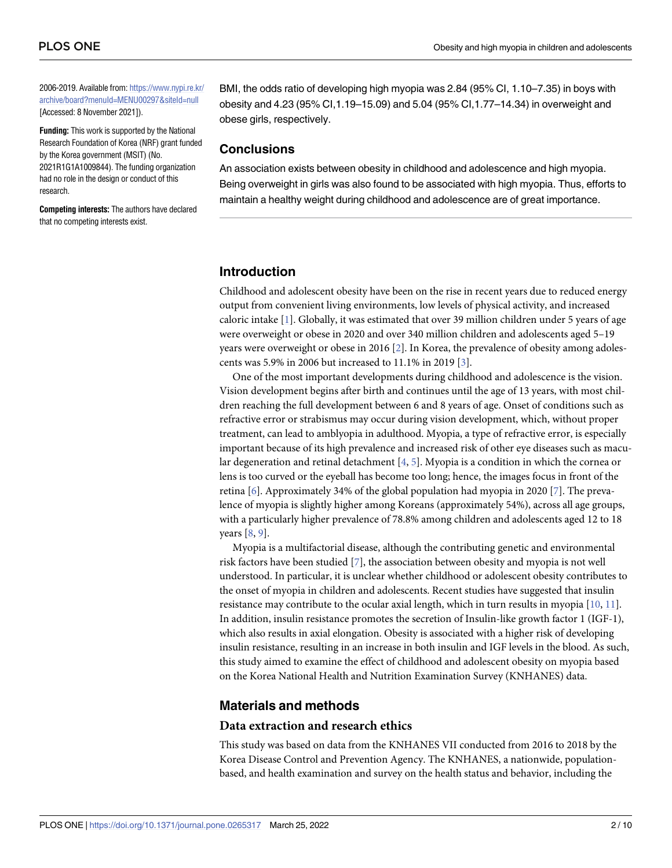<span id="page-1-0"></span>2006-2019. Available from: [https://www.nypi.re.kr/](https://www.nypi.re.kr/archive/board?menuId=MENU00297&siteId=null) [archive/board?menuId=MENU00297&siteId=null](https://www.nypi.re.kr/archive/board?menuId=MENU00297&siteId=null) [Accessed: 8 November 2021]).

**Funding:** This work is supported by the National Research Foundation of Korea (NRF) grant funded by the Korea government (MSIT) (No. 2021R1G1A1009844). The funding organization had no role in the design or conduct of this research.

**Competing interests:** The authors have declared that no competing interests exist.

BMI, the odds ratio of developing high myopia was 2.84 (95% CI, 1.10–7.35) in boys with obesity and 4.23 (95% CI,1.19–15.09) and 5.04 (95% CI,1.77–14.34) in overweight and obese girls, respectively.

## **Conclusions**

An association exists between obesity in childhood and adolescence and high myopia. Being overweight in girls was also found to be associated with high myopia. Thus, efforts to maintain a healthy weight during childhood and adolescence are of great importance.

# **Introduction**

Childhood and adolescent obesity have been on the rise in recent years due to reduced energy output from convenient living environments, low levels of physical activity, and increased caloric intake [\[1\]](#page-8-0). Globally, it was estimated that over 39 million children under 5 years of age were overweight or obese in 2020 and over 340 million children and adolescents aged 5–19 years were overweight or obese in 2016 [[2](#page-8-0)]. In Korea, the prevalence of obesity among adolescents was 5.9% in 2006 but increased to 11.1% in 2019 [[3\]](#page-8-0).

One of the most important developments during childhood and adolescence is the vision. Vision development begins after birth and continues until the age of 13 years, with most children reaching the full development between 6 and 8 years of age. Onset of conditions such as refractive error or strabismus may occur during vision development, which, without proper treatment, can lead to amblyopia in adulthood. Myopia, a type of refractive error, is especially important because of its high prevalence and increased risk of other eye diseases such as macular degeneration and retinal detachment  $[4, 5]$  $[4, 5]$  $[4, 5]$  $[4, 5]$ . Myopia is a condition in which the cornea or lens is too curved or the eyeball has become too long; hence, the images focus in front of the retina [\[6\]](#page-8-0). Approximately 34% of the global population had myopia in 2020 [\[7](#page-8-0)]. The prevalence of myopia is slightly higher among Koreans (approximately 54%), across all age groups, with a particularly higher prevalence of 78.8% among children and adolescents aged 12 to 18 years [\[8,](#page-8-0) [9](#page-8-0)].

Myopia is a multifactorial disease, although the contributing genetic and environmental risk factors have been studied [[7\]](#page-8-0), the association between obesity and myopia is not well understood. In particular, it is unclear whether childhood or adolescent obesity contributes to the onset of myopia in children and adolescents. Recent studies have suggested that insulin resistance may contribute to the ocular axial length, which in turn results in myopia [[10](#page-9-0), [11](#page-9-0)]. In addition, insulin resistance promotes the secretion of Insulin-like growth factor 1 (IGF-1), which also results in axial elongation. Obesity is associated with a higher risk of developing insulin resistance, resulting in an increase in both insulin and IGF levels in the blood. As such, this study aimed to examine the effect of childhood and adolescent obesity on myopia based on the Korea National Health and Nutrition Examination Survey (KNHANES) data.

### **Materials and methods**

#### **Data extraction and research ethics**

This study was based on data from the KNHANES VII conducted from 2016 to 2018 by the Korea Disease Control and Prevention Agency. The KNHANES, a nationwide, populationbased, and health examination and survey on the health status and behavior, including the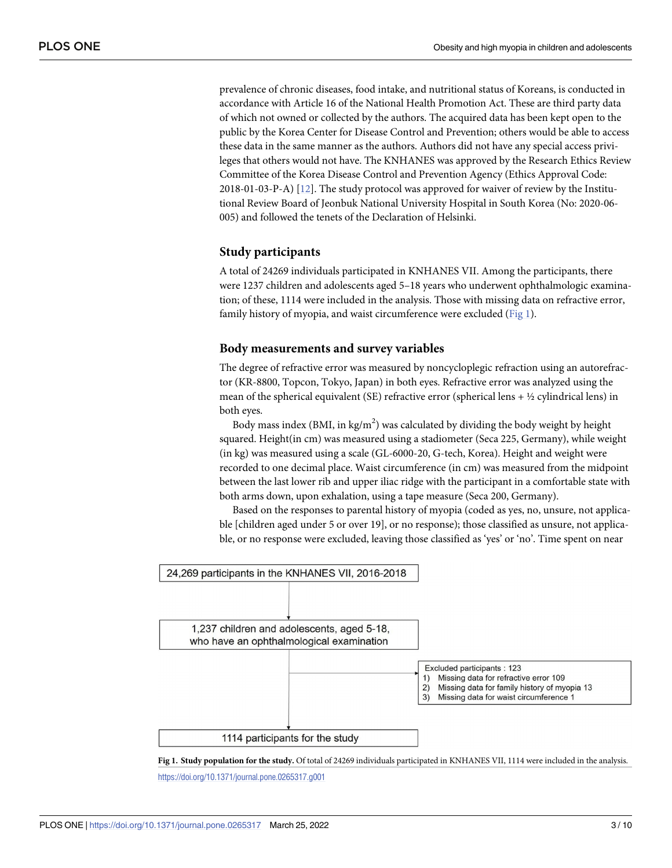<span id="page-2-0"></span>prevalence of chronic diseases, food intake, and nutritional status of Koreans, is conducted in accordance with Article 16 of the National Health Promotion Act. These are third party data of which not owned or collected by the authors. The acquired data has been kept open to the public by the Korea Center for Disease Control and Prevention; others would be able to access these data in the same manner as the authors. Authors did not have any special access privileges that others would not have. The KNHANES was approved by the Research Ethics Review Committee of the Korea Disease Control and Prevention Agency (Ethics Approval Code: 2018-01-03-P-A) [\[12\]](#page-9-0). The study protocol was approved for waiver of review by the Institutional Review Board of Jeonbuk National University Hospital in South Korea (No: 2020-06- 005) and followed the tenets of the Declaration of Helsinki.

#### **Study participants**

A total of 24269 individuals participated in KNHANES VII. Among the participants, there were 1237 children and adolescents aged 5–18 years who underwent ophthalmologic examination; of these, 1114 were included in the analysis. Those with missing data on refractive error, family history of myopia, and waist circumference were excluded (Fig 1).

#### **Body measurements and survey variables**

The degree of refractive error was measured by noncycloplegic refraction using an autorefractor (KR-8800, Topcon, Tokyo, Japan) in both eyes. Refractive error was analyzed using the mean of the spherical equivalent (SE) refractive error (spherical lens +  $\frac{1}{2}$  cylindrical lens) in both eyes.

Body mass index (BMI, in kg/m<sup>2</sup>) was calculated by dividing the body weight by height squared. Height(in cm) was measured using a stadiometer (Seca 225, Germany), while weight (in kg) was measured using a scale (GL-6000-20, G-tech, Korea). Height and weight were recorded to one decimal place. Waist circumference (in cm) was measured from the midpoint between the last lower rib and upper iliac ridge with the participant in a comfortable state with both arms down, upon exhalation, using a tape measure (Seca 200, Germany).

Based on the responses to parental history of myopia (coded as yes, no, unsure, not applicable [children aged under 5 or over 19], or no response); those classified as unsure, not applicable, or no response were excluded, leaving those classified as 'yes' or 'no'. Time spent on near



**Fig 1. Study population for the study.** Of total of 24269 individuals participated in KNHANES VII, 1114 were included in the analysis.

<https://doi.org/10.1371/journal.pone.0265317.g001>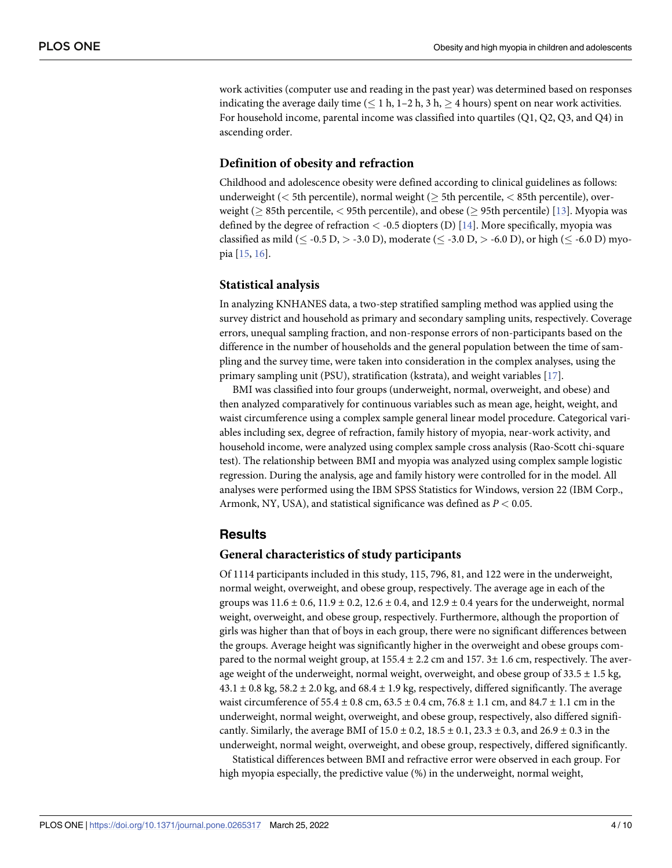<span id="page-3-0"></span>work activities (computer use and reading in the past year) was determined based on responses indicating the average daily time ( $\leq 1$  h, 1–2 h, 3 h,  $\geq 4$  hours) spent on near work activities. For household income, parental income was classified into quartiles (Q1, Q2, Q3, and Q4) in ascending order.

#### **Definition of obesity and refraction**

Childhood and adolescence obesity were defined according to clinical guidelines as follows: underweight ( $\lt$  5th percentile), normal weight ( $\geq$  5th percentile,  $\lt$  85th percentile), overweight ( $>$  85th percentile,  $<$  95th percentile), and obese ( $>$  95th percentile) [[13](#page-9-0)]. Myopia was defined by the degree of refraction *<* -0.5 diopters (D) [\[14\]](#page-9-0). More specifically, myopia was classified as mild ( $\leq$  -0.5 D,  $>$  -3.0 D), moderate ( $\leq$  -3.0 D,  $>$  -6.0 D), or high ( $\leq$  -6.0 D) myopia [[15](#page-9-0), [16](#page-9-0)].

#### **Statistical analysis**

In analyzing KNHANES data, a two-step stratified sampling method was applied using the survey district and household as primary and secondary sampling units, respectively. Coverage errors, unequal sampling fraction, and non-response errors of non-participants based on the difference in the number of households and the general population between the time of sampling and the survey time, were taken into consideration in the complex analyses, using the primary sampling unit (PSU), stratification (kstrata), and weight variables [[17](#page-9-0)].

BMI was classified into four groups (underweight, normal, overweight, and obese) and then analyzed comparatively for continuous variables such as mean age, height, weight, and waist circumference using a complex sample general linear model procedure. Categorical variables including sex, degree of refraction, family history of myopia, near-work activity, and household income, were analyzed using complex sample cross analysis (Rao-Scott chi-square test). The relationship between BMI and myopia was analyzed using complex sample logistic regression. During the analysis, age and family history were controlled for in the model. All analyses were performed using the IBM SPSS Statistics for Windows, version 22 (IBM Corp., Armonk, NY, USA), and statistical significance was defined as *P <* 0.05.

#### **Results**

#### **General characteristics of study participants**

Of 1114 participants included in this study, 115, 796, 81, and 122 were in the underweight, normal weight, overweight, and obese group, respectively. The average age in each of the groups was  $11.6 \pm 0.6$ ,  $11.9 \pm 0.2$ ,  $12.6 \pm 0.4$ , and  $12.9 \pm 0.4$  years for the underweight, normal weight, overweight, and obese group, respectively. Furthermore, although the proportion of girls was higher than that of boys in each group, there were no significant differences between the groups. Average height was significantly higher in the overweight and obese groups compared to the normal weight group, at  $155.4 \pm 2.2$  cm and  $157.3 \pm 1.6$  cm, respectively. The average weight of the underweight, normal weight, overweight, and obese group of  $33.5 \pm 1.5$  kg,  $43.1 \pm 0.8$  kg,  $58.2 \pm 2.0$  kg, and  $68.4 \pm 1.9$  kg, respectively, differed significantly. The average waist circumference of  $55.4 \pm 0.8$  cm,  $63.5 \pm 0.4$  cm,  $76.8 \pm 1.1$  cm, and  $84.7 \pm 1.1$  cm in the underweight, normal weight, overweight, and obese group, respectively, also differed significantly. Similarly, the average BMI of  $15.0 \pm 0.2$ ,  $18.5 \pm 0.1$ ,  $23.3 \pm 0.3$ , and  $26.9 \pm 0.3$  in the underweight, normal weight, overweight, and obese group, respectively, differed significantly.

Statistical differences between BMI and refractive error were observed in each group. For high myopia especially, the predictive value (%) in the underweight, normal weight,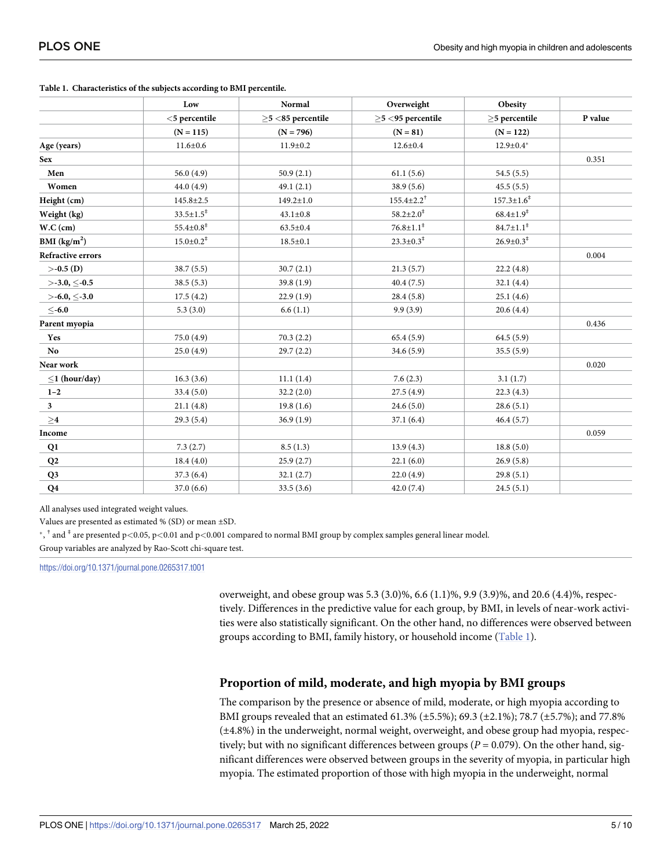|                          | Low<br>$<$ 5 percentile     | Normal<br>$>5$ <85 percentile | Overweight<br>$>5$ <95 percentile | Obesity<br>$>5$ percentile | P value |
|--------------------------|-----------------------------|-------------------------------|-----------------------------------|----------------------------|---------|
|                          |                             |                               |                                   |                            |         |
|                          | $(N = 115)$                 | $(N = 796)$                   | $(N = 81)$                        | $(N = 122)$                |         |
| Age (years)              | $11.6 \pm 0.6$              | $11.9 \pm 0.2$                | $12.6 \pm 0.4$                    | $12.9 \pm 0.4*$            |         |
| <b>Sex</b>               |                             |                               |                                   |                            | 0.351   |
| Men                      | 56.0 $(4.9)$                | 50.9(2.1)                     | 61.1(5.6)                         | 54.5(5.5)                  |         |
| Women                    | 44.0(4.9)                   | 49.1(2.1)                     | 38.9 (5.6)                        | 45.5(5.5)                  |         |
| Height (cm)              | $145.8 \pm 2.5$             | $149.2 \pm 1.0$               | $155.4{\pm}2.2^{\dagger}$         | $157.3 \pm 1.6^{\ddagger}$ |         |
| Weight (kg)              | $33.5 \pm 1.5^{\ddagger}$   | $43.1 \pm 0.8$                | $58.2 \pm 2.0^{\ddagger}$         | $68.4 \pm 1.9^*$           |         |
| W.C (cm)                 | $55.4{\pm}0.8^{\ddagger}$   | $63.5 \pm 0.4$                | $76.8 \pm 1.1^*$                  | $84.7 \pm 1.1^*$           |         |
| BMI $(kg/m2)$            | $15.0 \pm 0.2$ <sup>‡</sup> | $18.5 \pm 0.1$                | $23.3 \pm 0.3^{\ddagger}$         | $26.9 \pm 0.3^{\ddagger}$  |         |
| <b>Refractive errors</b> |                             |                               |                                   |                            | 0.004   |
| $> -0.5$ (D)             | 38.7(5.5)                   | 30.7(2.1)                     | 21.3(5.7)                         | 22.2(4.8)                  |         |
| $>$ -3.0, $<$ -0.5       | 38.5(5.3)                   | 39.8(1.9)                     | 40.4(7.5)                         | 32.1(4.4)                  |         |
| $>$ -6.0, $\leq$ -3.0    | 17.5(4.2)                   | 22.9(1.9)                     | 28.4(5.8)                         | 25.1(4.6)                  |         |
| $<$ -6.0                 | 5.3(3.0)                    | 6.6(1.1)                      | 9.9(3.9)                          | 20.6(4.4)                  |         |
| Parent myopia            |                             |                               |                                   |                            | 0.436   |
| Yes                      | 75.0(4.9)                   | 70.3(2.2)                     | 65.4(5.9)                         | 64.5(5.9)                  |         |
| No                       | 25.0(4.9)                   | 29.7(2.2)                     | 34.6 (5.9)                        | 35.5(5.9)                  |         |
| Near work                |                             |                               |                                   |                            | 0.020   |
| $\leq$ 1 (hour/day)      | 16.3(3.6)                   | 11.1(1.4)                     | 7.6(2.3)                          | 3.1(1.7)                   |         |
| $1 - 2$                  | 33.4(5.0)                   | 32.2(2.0)                     | 27.5(4.9)                         | 22.3(4.3)                  |         |
| 3 <sup>1</sup>           | 21.1(4.8)                   | 19.8(1.6)                     | 24.6(5.0)                         | 28.6(5.1)                  |         |
| $\geq$ 4                 | 29.3(5.4)                   | 36.9(1.9)                     | 37.1(6.4)                         | 46.4(5.7)                  |         |
| Income                   |                             |                               |                                   |                            | 0.059   |
| Q1                       | 7.3(2.7)                    | 8.5(1.3)                      | 13.9(4.3)                         | 18.8(5.0)                  |         |
| Q2                       | 18.4(4.0)                   | 25.9(2.7)                     | 22.1(6.0)                         | 26.9(5.8)                  |         |
| Q <sub>3</sub>           | 37.3(6.4)                   | 32.1(2.7)                     | 22.0(4.9)                         | 29.8(5.1)                  |         |
| Q <sub>4</sub>           | 37.0(6.6)                   | 33.5(3.6)                     | 42.0(7.4)                         | 24.5(5.1)                  |         |

**Table 1. Characteristics of the subjects according to BMI percentile.**

All analyses used integrated weight values.

Values are presented as estimated % (SD) or mean ±SD.

�, † and ‡ are presented p*<*0.05, p*<*0.01 and p*<*0.001 compared to normal BMI group by complex samples general linear model.

Group variables are analyzed by Rao-Scott chi-square test.

<https://doi.org/10.1371/journal.pone.0265317.t001>

overweight, and obese group was 5.3 (3.0)%, 6.6 (1.1)%, 9.9 (3.9)%, and 20.6 (4.4)%, respectively. Differences in the predictive value for each group, by BMI, in levels of near-work activities were also statistically significant. On the other hand, no differences were observed between groups according to BMI, family history, or household income (Table 1).

## **Proportion of mild, moderate, and high myopia by BMI groups**

The comparison by the presence or absence of mild, moderate, or high myopia according to BMI groups revealed that an estimated 61.3% (±5.5%); 69.3 (±2.1%); 78.7 (±5.7%); and 77.8% (±4.8%) in the underweight, normal weight, overweight, and obese group had myopia, respectively; but with no significant differences between groups (*P* = 0.079). On the other hand, significant differences were observed between groups in the severity of myopia, in particular high myopia. The estimated proportion of those with high myopia in the underweight, normal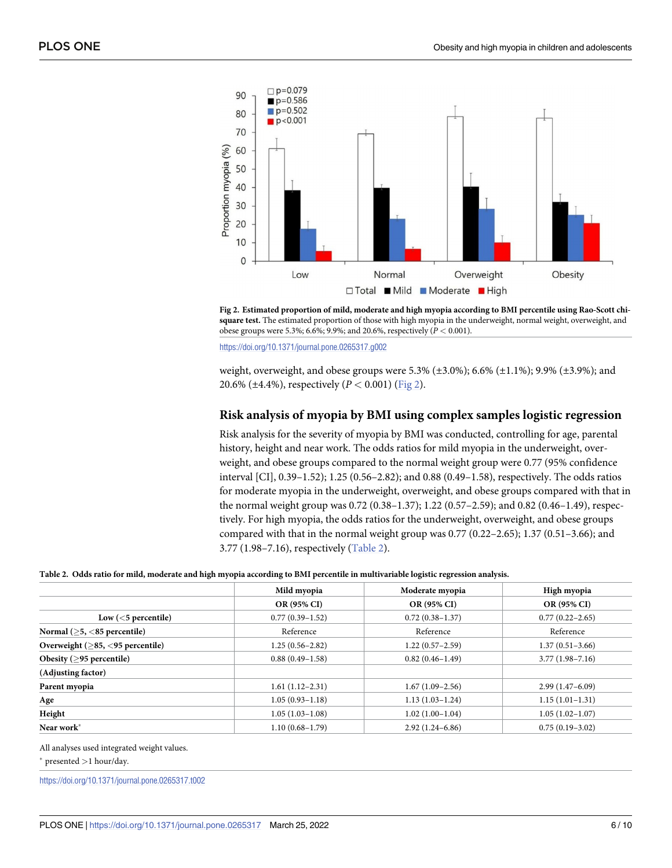

Fig 2. Estimated proportion of mild, moderate and high myopia according to BMI percentile using Rao-Scott chi**square test.** The estimated proportion of those with high myopia in the underweight, normal weight, overweight, and obese groups were 5.3%; 6.6%; 9.9%; and 20.6%, respectively (*P <* 0.001).

<https://doi.org/10.1371/journal.pone.0265317.g002>

weight, overweight, and obese groups were 5.3% ( $\pm 3.0$ %); 6.6% ( $\pm 1.1$ %); 9.9% ( $\pm 3.9$ %); and 20.6% (±4.4%), respectively (*P <* 0.001) (Fig 2).

#### **Risk analysis of myopia by BMI using complex samples logistic regression**

Risk analysis for the severity of myopia by BMI was conducted, controlling for age, parental history, height and near work. The odds ratios for mild myopia in the underweight, overweight, and obese groups compared to the normal weight group were 0.77 (95% confidence interval [CI], 0.39–1.52); 1.25 (0.56–2.82); and 0.88 (0.49–1.58), respectively. The odds ratios for moderate myopia in the underweight, overweight, and obese groups compared with that in the normal weight group was 0.72 (0.38–1.37); 1.22 (0.57–2.59); and 0.82 (0.46–1.49), respectively. For high myopia, the odds ratios for the underweight, overweight, and obese groups compared with that in the normal weight group was 0.77 (0.22–2.65); 1.37 (0.51–3.66); and 3.77 (1.98–7.16), respectively (Table 2).

#### Table 2. Odds ratio for mild, moderate and high myopia according to BMI percentile in multivariable logistic regression analysis.

|                                     | Mild myopia         | Moderate myopia     | High myopia         |
|-------------------------------------|---------------------|---------------------|---------------------|
|                                     | OR (95% CI)         | <b>OR (95% CI)</b>  | <b>OR (95% CI)</b>  |
| Low $(5$ percentile)                | $0.77(0.39-1.52)$   | $0.72(0.38 - 1.37)$ | $0.77(0.22 - 2.65)$ |
| Normal $($ >5, $<$ 85 percentile)   | Reference           | Reference           | Reference           |
| Overweight $($ >85, <95 percentile) | $1.25(0.56 - 2.82)$ | $1.22(0.57-2.59)$   | $1.37(0.51 - 3.66)$ |
| Obesity $($ >95 percentile)         | $0.88(0.49-1.58)$   | $0.82(0.46 - 1.49)$ | $3.77(1.98 - 7.16)$ |
| (Adjusting factor)                  |                     |                     |                     |
| Parent myopia                       | $1.61(1.12-2.31)$   | $1.67(1.09-2.56)$   | $2.99(1.47-6.09)$   |
| Age                                 | $1.05(0.93 - 1.18)$ | $1.13(1.03-1.24)$   | $1.15(1.01-1.31)$   |
| Height                              | $1.05(1.03-1.08)$   | $1.02(1.00-1.04)$   | $1.05(1.02 - 1.07)$ |
| Near work*                          | $1.10(0.68 - 1.79)$ | $2.92(1.24 - 6.86)$ | $0.75(0.19-3.02)$   |

All analyses used integrated weight values.

� presented *>*1 hour/day.

<https://doi.org/10.1371/journal.pone.0265317.t002>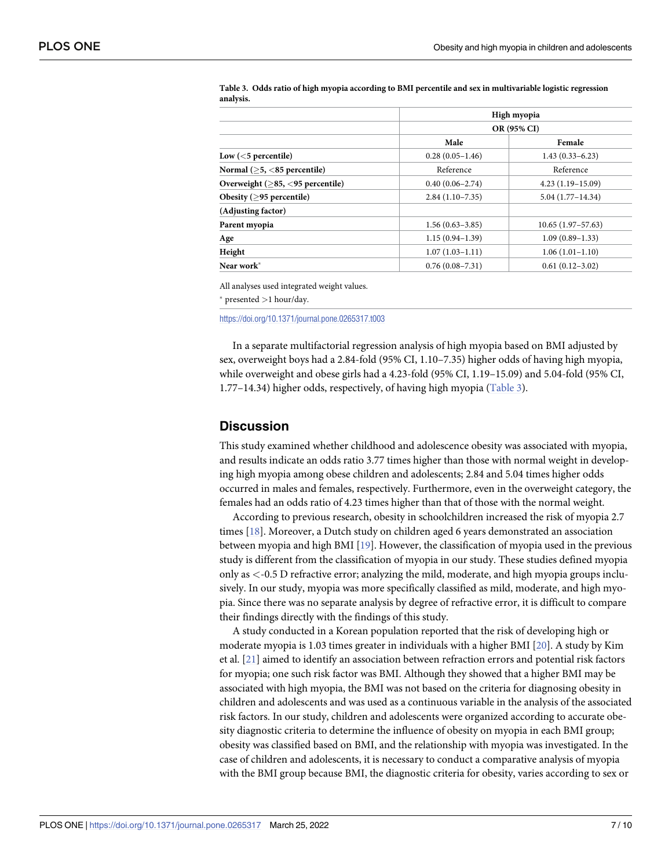|                                     |                     | High myopia<br>OR (95% CI) |  |  |
|-------------------------------------|---------------------|----------------------------|--|--|
|                                     |                     |                            |  |  |
|                                     | Male                | Female                     |  |  |
| Low $(5 percentile)$                | $0.28(0.05-1.46)$   | $1.43(0.33 - 6.23)$        |  |  |
| Normal $($ >5, $<$ 85 percentile)   | Reference           | Reference                  |  |  |
| Overweight $($ >85, <95 percentile) | $0.40(0.06 - 2.74)$ | $4.23(1.19-15.09)$         |  |  |
| Obesity $($ >95 percentile)         | $2.84(1.10-7.35)$   | $5.04(1.77-14.34)$         |  |  |
| (Adjusting factor)                  |                     |                            |  |  |
| Parent myopia                       | $1.56(0.63 - 3.85)$ | $10.65(1.97-57.63)$        |  |  |
| Age                                 | $1.15(0.94 - 1.39)$ | $1.09(0.89 - 1.33)$        |  |  |
| Height                              | $1.07(1.03 - 1.11)$ | $1.06(1.01-1.10)$          |  |  |
| Near work*                          | $0.76(0.08 - 7.31)$ | $0.61(0.12 - 3.02)$        |  |  |

<span id="page-6-0"></span>Table 3. Odds ratio of high myopia according to BMI percentile and sex in multivariable logistic regression **analysis.**

All analyses used integrated weight values.

� presented *>*1 hour/day.

<https://doi.org/10.1371/journal.pone.0265317.t003>

In a separate multifactorial regression analysis of high myopia based on BMI adjusted by sex, overweight boys had a 2.84-fold (95% CI, 1.10–7.35) higher odds of having high myopia, while overweight and obese girls had a 4.23-fold (95% CI, 1.19–15.09) and 5.04-fold (95% CI, 1.77–14.34) higher odds, respectively, of having high myopia (Table 3).

#### **Discussion**

This study examined whether childhood and adolescence obesity was associated with myopia, and results indicate an odds ratio 3.77 times higher than those with normal weight in developing high myopia among obese children and adolescents; 2.84 and 5.04 times higher odds occurred in males and females, respectively. Furthermore, even in the overweight category, the females had an odds ratio of 4.23 times higher than that of those with the normal weight.

According to previous research, obesity in schoolchildren increased the risk of myopia 2.7 times [\[18\]](#page-9-0). Moreover, a Dutch study on children aged 6 years demonstrated an association between myopia and high BMI [\[19\]](#page-9-0). However, the classification of myopia used in the previous study is different from the classification of myopia in our study. These studies defined myopia only as *<*-0.5 D refractive error; analyzing the mild, moderate, and high myopia groups inclusively. In our study, myopia was more specifically classified as mild, moderate, and high myopia. Since there was no separate analysis by degree of refractive error, it is difficult to compare their findings directly with the findings of this study.

A study conducted in a Korean population reported that the risk of developing high or moderate myopia is 1.03 times greater in individuals with a higher BMI [[20](#page-9-0)]. A study by Kim et al. [\[21\]](#page-9-0) aimed to identify an association between refraction errors and potential risk factors for myopia; one such risk factor was BMI. Although they showed that a higher BMI may be associated with high myopia, the BMI was not based on the criteria for diagnosing obesity in children and adolescents and was used as a continuous variable in the analysis of the associated risk factors. In our study, children and adolescents were organized according to accurate obesity diagnostic criteria to determine the influence of obesity on myopia in each BMI group; obesity was classified based on BMI, and the relationship with myopia was investigated. In the case of children and adolescents, it is necessary to conduct a comparative analysis of myopia with the BMI group because BMI, the diagnostic criteria for obesity, varies according to sex or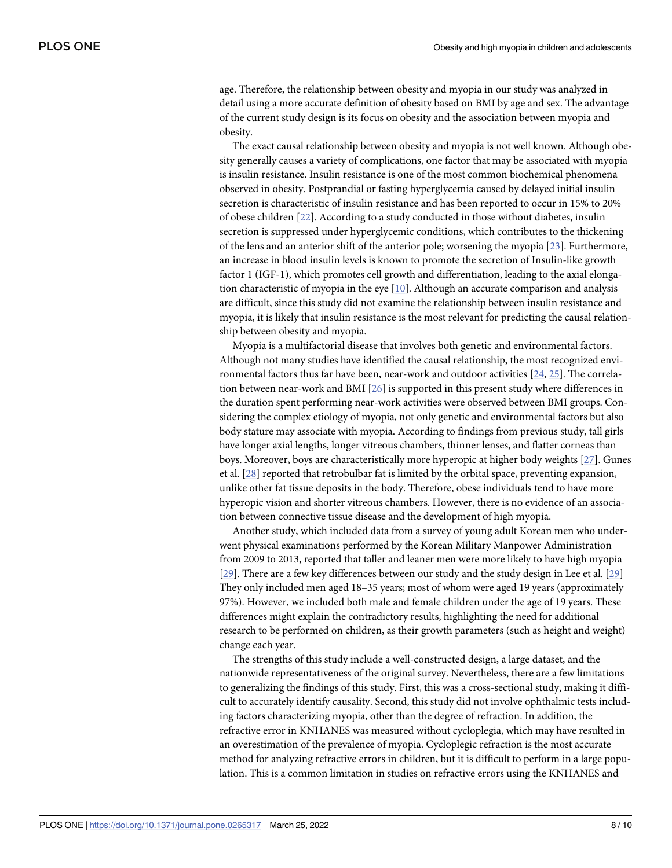<span id="page-7-0"></span>age. Therefore, the relationship between obesity and myopia in our study was analyzed in detail using a more accurate definition of obesity based on BMI by age and sex. The advantage of the current study design is its focus on obesity and the association between myopia and obesity.

The exact causal relationship between obesity and myopia is not well known. Although obesity generally causes a variety of complications, one factor that may be associated with myopia is insulin resistance. Insulin resistance is one of the most common biochemical phenomena observed in obesity. Postprandial or fasting hyperglycemia caused by delayed initial insulin secretion is characteristic of insulin resistance and has been reported to occur in 15% to 20% of obese children [[22](#page-9-0)]. According to a study conducted in those without diabetes, insulin secretion is suppressed under hyperglycemic conditions, which contributes to the thickening of the lens and an anterior shift of the anterior pole; worsening the myopia [\[23\]](#page-9-0). Furthermore, an increase in blood insulin levels is known to promote the secretion of Insulin-like growth factor 1 (IGF-1), which promotes cell growth and differentiation, leading to the axial elongation characteristic of myopia in the eye  $[10]$  $[10]$  $[10]$ . Although an accurate comparison and analysis are difficult, since this study did not examine the relationship between insulin resistance and myopia, it is likely that insulin resistance is the most relevant for predicting the causal relationship between obesity and myopia.

Myopia is a multifactorial disease that involves both genetic and environmental factors. Although not many studies have identified the causal relationship, the most recognized environmental factors thus far have been, near-work and outdoor activities [\[24,](#page-9-0) [25\]](#page-9-0). The correlation between near-work and BMI [[26](#page-9-0)] is supported in this present study where differences in the duration spent performing near-work activities were observed between BMI groups. Considering the complex etiology of myopia, not only genetic and environmental factors but also body stature may associate with myopia. According to findings from previous study, tall girls have longer axial lengths, longer vitreous chambers, thinner lenses, and flatter corneas than boys. Moreover, boys are characteristically more hyperopic at higher body weights [\[27\]](#page-9-0). Gunes et al. [\[28\]](#page-9-0) reported that retrobulbar fat is limited by the orbital space, preventing expansion, unlike other fat tissue deposits in the body. Therefore, obese individuals tend to have more hyperopic vision and shorter vitreous chambers. However, there is no evidence of an association between connective tissue disease and the development of high myopia.

Another study, which included data from a survey of young adult Korean men who underwent physical examinations performed by the Korean Military Manpower Administration from 2009 to 2013, reported that taller and leaner men were more likely to have high myopia [\[29\]](#page-9-0). There are a few key differences between our study and the study design in Lee et al. [\[29\]](#page-9-0) They only included men aged 18–35 years; most of whom were aged 19 years (approximately 97%). However, we included both male and female children under the age of 19 years. These differences might explain the contradictory results, highlighting the need for additional research to be performed on children, as their growth parameters (such as height and weight) change each year.

The strengths of this study include a well-constructed design, a large dataset, and the nationwide representativeness of the original survey. Nevertheless, there are a few limitations to generalizing the findings of this study. First, this was a cross-sectional study, making it difficult to accurately identify causality. Second, this study did not involve ophthalmic tests including factors characterizing myopia, other than the degree of refraction. In addition, the refractive error in KNHANES was measured without cycloplegia, which may have resulted in an overestimation of the prevalence of myopia. Cycloplegic refraction is the most accurate method for analyzing refractive errors in children, but it is difficult to perform in a large population. This is a common limitation in studies on refractive errors using the KNHANES and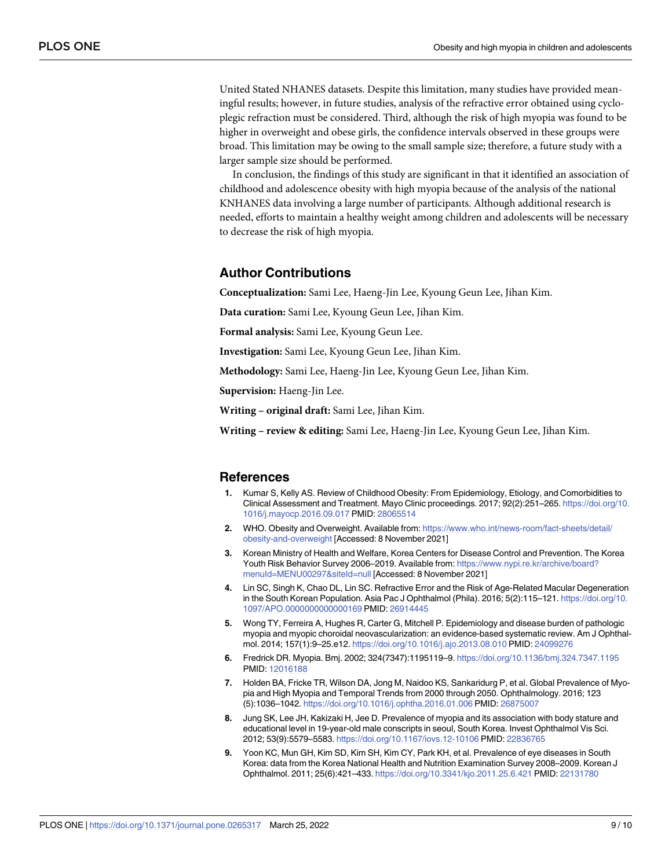<span id="page-8-0"></span>United Stated NHANES datasets. Despite this limitation, many studies have provided meaningful results; however, in future studies, analysis of the refractive error obtained using cycloplegic refraction must be considered. Third, although the risk of high myopia was found to be higher in overweight and obese girls, the confidence intervals observed in these groups were broad. This limitation may be owing to the small sample size; therefore, a future study with a larger sample size should be performed.

In conclusion, the findings of this study are significant in that it identified an association of childhood and adolescence obesity with high myopia because of the analysis of the national KNHANES data involving a large number of participants. Although additional research is needed, efforts to maintain a healthy weight among children and adolescents will be necessary to decrease the risk of high myopia.

#### **Author Contributions**

**Conceptualization:** Sami Lee, Haeng-Jin Lee, Kyoung Geun Lee, Jihan Kim.

**Data curation:** Sami Lee, Kyoung Geun Lee, Jihan Kim.

**Formal analysis:** Sami Lee, Kyoung Geun Lee.

**Investigation:** Sami Lee, Kyoung Geun Lee, Jihan Kim.

**Methodology:** Sami Lee, Haeng-Jin Lee, Kyoung Geun Lee, Jihan Kim.

**Supervision:** Haeng-Jin Lee.

**Writing – original draft:** Sami Lee, Jihan Kim.

**Writing – review & editing:** Sami Lee, Haeng-Jin Lee, Kyoung Geun Lee, Jihan Kim.

#### **References**

- **[1](#page-1-0).** Kumar S, Kelly AS. Review of Childhood Obesity: From Epidemiology, Etiology, and Comorbidities to Clinical Assessment and Treatment. Mayo Clinic proceedings. 2017; 92(2):251–265. [https://doi.org/10.](https://doi.org/10.1016/j.mayocp.2016.09.017) [1016/j.mayocp.2016.09.017](https://doi.org/10.1016/j.mayocp.2016.09.017) PMID: [28065514](http://www.ncbi.nlm.nih.gov/pubmed/28065514)
- **[2](#page-1-0).** WHO. Obesity and Overweight. Available from: [https://www.who.int/news-room/fact-sheets/detail/](https://www.who.int/news-room/fact-sheets/detail/obesity-and-overweight) [obesity-and-overweight](https://www.who.int/news-room/fact-sheets/detail/obesity-and-overweight) [Accessed: 8 November 2021]
- **[3](#page-1-0).** Korean Ministry of Health and Welfare, Korea Centers for Disease Control and Prevention. The Korea Youth Risk Behavior Survey 2006–2019. Available from: [https://www.nypi.re.kr/archive/board?](https://www.nypi.re.kr/archive/board?menuId=MENU00297&siteId=null) [menuId=MENU00297&siteId=null](https://www.nypi.re.kr/archive/board?menuId=MENU00297&siteId=null) [Accessed: 8 November 2021]
- **[4](#page-1-0).** Lin SC, Singh K, Chao DL, Lin SC. Refractive Error and the Risk of Age-Related Macular Degeneration in the South Korean Population. Asia Pac J Ophthalmol (Phila). 2016; 5(2):115–121. [https://doi.org/10.](https://doi.org/10.1097/APO.0000000000000169) [1097/APO.0000000000000169](https://doi.org/10.1097/APO.0000000000000169) PMID: [26914445](http://www.ncbi.nlm.nih.gov/pubmed/26914445)
- **[5](#page-1-0).** Wong TY, Ferreira A, Hughes R, Carter G, Mitchell P. Epidemiology and disease burden of pathologic myopia and myopic choroidal neovascularization: an evidence-based systematic review. Am J Ophthalmol. 2014; 157(1):9–25.e12. <https://doi.org/10.1016/j.ajo.2013.08.010> PMID: [24099276](http://www.ncbi.nlm.nih.gov/pubmed/24099276)
- **[6](#page-1-0).** Fredrick DR. Myopia. Bmj. 2002; 324(7347):1195119–9. <https://doi.org/10.1136/bmj.324.7347.1195> PMID: [12016188](http://www.ncbi.nlm.nih.gov/pubmed/12016188)
- **[7](#page-1-0).** Holden BA, Fricke TR, Wilson DA, Jong M, Naidoo KS, Sankaridurg P, et al. Global Prevalence of Myopia and High Myopia and Temporal Trends from 2000 through 2050. Ophthalmology. 2016; 123 (5):1036–1042. <https://doi.org/10.1016/j.ophtha.2016.01.006> PMID: [26875007](http://www.ncbi.nlm.nih.gov/pubmed/26875007)
- **[8](#page-1-0).** Jung SK, Lee JH, Kakizaki H, Jee D. Prevalence of myopia and its association with body stature and educational level in 19-year-old male conscripts in seoul, South Korea. Invest Ophthalmol Vis Sci. 2012; 53(9):5579–5583. <https://doi.org/10.1167/iovs.12-10106> PMID: [22836765](http://www.ncbi.nlm.nih.gov/pubmed/22836765)
- **[9](#page-1-0).** Yoon KC, Mun GH, Kim SD, Kim SH, Kim CY, Park KH, et al. Prevalence of eye diseases in South Korea: data from the Korea National Health and Nutrition Examination Survey 2008–2009. Korean J Ophthalmol. 2011; 25(6):421–433. <https://doi.org/10.3341/kjo.2011.25.6.421> PMID: [22131780](http://www.ncbi.nlm.nih.gov/pubmed/22131780)